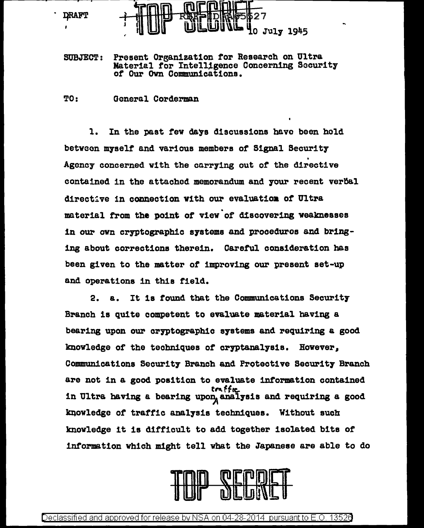

SUBJECT: Present Organization tor Research on Ultra Material tor Intelligence Concerning Security *ot* Our Own Communications.

TO: General Corderman

1. In the past tev days discussions have been hold between myself and various members of Signal Security<br>Agency concerned with the carrying out of the directive contained in the attached memorandum and your recent verbal directive in connection with our evaluation of Ultra .<br>material from the point of view of discovering weaknesses in our own cryptographic systems and procedures and bringing about corrections therein. Careful consideration has been given to the matter of improving our present set-up and operations in this field.

2. a. It is found that the Communications Security Branch is quite competent to evaluate material having a bearing upon our cryptographic systems and requiring a good knowledge of the techniques of cryptanalysis. However, Communications Security Branch and Protective Security Branch are not in a good position to evaluate information contained<br> $\mathbf{t}$ in Ultra having a bearing upon, analysis and requiring a good knowledge of traffic analysis techniques. Without such knowledge it is difficult to add together isolated bits of information which might tell vbat the Japanese are able to do

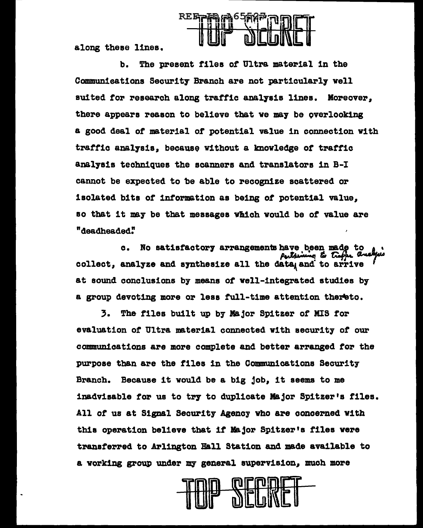**REE-PER** 

along these lines.

The present files of Ultra material in the b. Communications Security Branch are not particularly well suited for research along traffic analysis lines. Moreover, there appears reason to believe that we may be overlooking a good deal of material of potential value in connection with traffic analysis, because without a knowledge of traffic analysis techniques the scanners and translators in B-I cannot be expected to be able to recognize scattered or isolated bits of information as being of potential value. so that it may be that messages which would be of value are "deadheaded"

No satisfactory arrangements have been made to  $\mathbf{c}$ . collect, analyze and synthesize all the data and to arrive at sound conclusions by means of well-integrated studies by a group devoting more or less full-time attention thereto.

3. The files built up by Major Spitzer of MIS for evaluation of Ultra material connected with security of our communications are more complete and better arranged for the purpose than are the files in the Communications Security Branch. Because it would be a big job, it seems to me inadvisable for us to try to duplicate Major Spitzer's files. All of us at Signal Security Agency who are concerned with this operation believe that if Major Spitzer's files were transferred to Arlington Hall Station and made available to a working group under my general supervision, much more

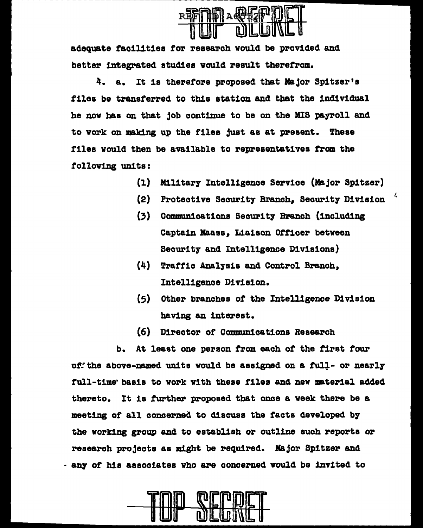

adequate facilities for research would be provided and better integrated studies would result therefrom.

4. a. It is therefore proposed that Major Spitzer's files be transferred to this station and that the individual he now has on that job continue to be on the MIS payroll and to work on making up the files just as at present. These files would then be available to representatives from the following units:

- (1) Military Intelligence Service (Major Spitzer)
- (2) Protective Security Branch, Security Division
- (3) Communications Security Branch (including Captain Maass, Liaison Officer between Security and Intelligence Divisions}
- (4) Traffic Analysis and Control Branch, Intelligence Division.
- (5) Other branches of the Intelligence Division having an interest.
- (6) Director of Communications Research

b. At least one person from each of the first four of: the above-named units would be assigned on a full- or nearly full-time· basis to work with these files and new material added thereto. It is further proposed that once a week there be a meeting of all concerned to discuss the facts developed b7 the working group and to establish or outline such reports or research projects as might be required. Major Spitzer and - &DJ' of his associates who are concerned would be invited to

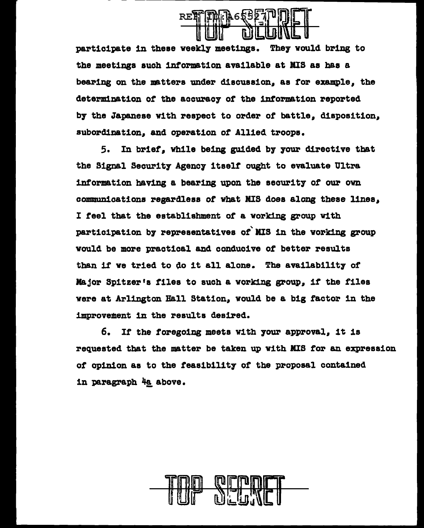

participate in these weekly meetings. They would bring to the meetings such information available at MIS as has a bearing on the matters under discussion, as for example, the determination of the accuracy of the information reported b7 the Japanese with respect to order of battle, disposition, subordination, and operation of Allied troops.

5. In brief, while being guided by your directive that the Signal Security Agency itself ought to evaluate Ultra information having a bearing upon the security of our own communications regardless or vbat MIS does along these lines, I feel that the establishment of a working group with participation by representatives of MIS in the working group would be more practical and conducive of better results than if we tried to do it all alone. The availability of .Major Spitzer•s files to such a working group, if the tiles were at Arlington Hall Station, would be a big factor in the improvement in the results desired.

6. If the foregoing meets with 7our approval, it is requested that the matter be taken up with MIS tor an expression of opinion as to the feasibility of the proposal contained in paragraph 4a above.

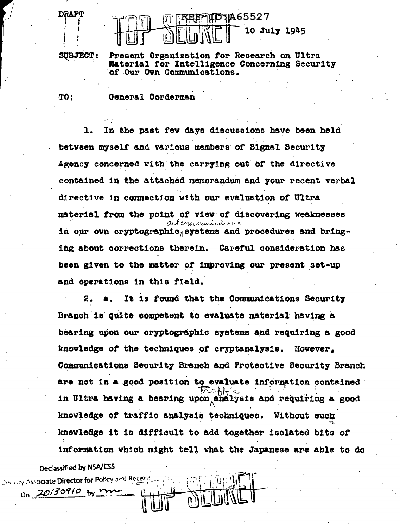

SUBJECT:

**TO:** 

Discussy Associate Director for Policy and Recent

On 20130910 by m

**DRAFT** 

Present Organization for Research on Ultra Material for Intelligence Concerning Security of Our Own Communications.

General Corderman

1. In the past few days discussions have been held between myself and various members of Signal Security Agency concerned with the carrying out of the directive contained in the attached memorandum and your recent verbal directive in connection with our evaluation of Ultra material from the point of view of discovering weaknesses and communications in our own cryptographic systems and procedures and bringing about corrections therein. Careful consideration has been given to the matter of improving our present set-up and operations in this field.

a. It is found that the Communications Security 2. Branch is quite competent to evaluate material having a bearing upon our cryptographic systems and requiring a good knowledge of the techniques of cryptanalysis. However. Communications Security Branch and Protective Security Branch are not in a good position to evaluate information contained 'affréc in Ultra having a bearing upon analysis and requiring a good knowledge of traffic analysis techniques. Without such knowledge it is difficult to add together isolated bits of information which might tell what the Japanese are able to do Declassified by NSA/CSS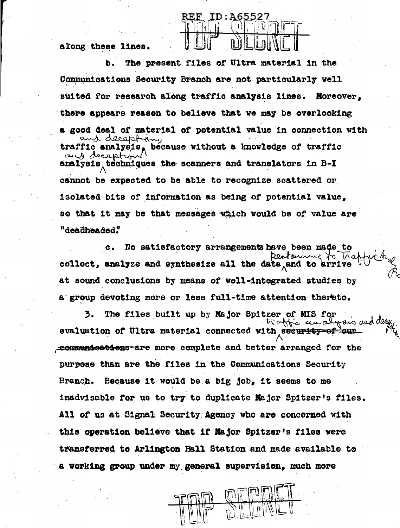along these lines.

The present files of Ultra material in the ь. Communications Security Branch are not particularly well suited for research along traffic analysis lines. Moreover. there appears reason to believe that we may be overlooking a good deal of material of potential value in connection with and deception, traffic analysis, because without a knowledge of traffic aus reception analysis techniques the scanners and translators in B-I cannot be expected to be able to recognize scattered or isolated bits of information as being of potential value, so that it may be that messages which would be of value are "deadheaded"

ID:A65527

**REF** 

 $c_{\star}$ No satisfactory arrangements have been made to Destaining to Traff collect, analyze and synthesize all the data and to arrive at sound conclusions by means of well-integrated studies by a group devoting more or less full-time attention thereto.

3. The files built up by Major Spitzer of MIS for wais and traffic and evaluation of Ultra material connected with security of our communications are more complete and better arranged for the purpose than are the files in the Communications Security Branch. Because it would be a big job, it seems to me inadvisable for us to try to duplicate Major Spitzer's files. All of us at Signal Security Agency who are concerned with this operation believe that if Major Spitzer's files were transferred to Arlington Hall Station and made available to a working group under my general supervision, much more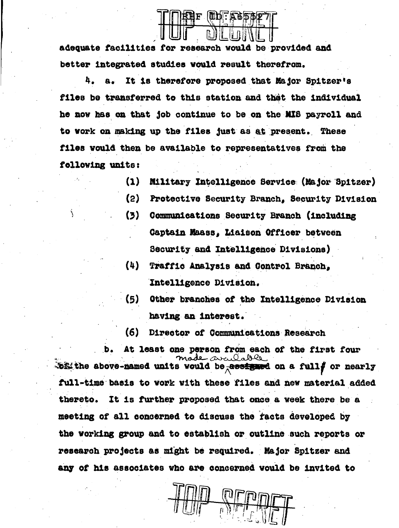ᄫ |肌力・広く5

adequate facilities for research would be provided and better integrated studies would result therefrom.

It is therefore proposed that Major Spitzer's 4.  $B_{\infty}$ files be transferred to this station and that the individual he now has on that job continue to be on the MIS payroll and to work on making up the files just as at present. These files would then be available to representatives from the following units:

- $(1)$ **Military Intelligence Service (Major Spitzer)**
- $(2)$ Protective Security Branch. Security Division
- $(3)$ Communications Security Branch (including Captain Maass. Liaison Officer between Security and Intelligence Divisions)
- $(4)$ Traffic Analysis and Control Branch. Intelligence Division.
- (5) Other branches of the Intelligence Division having an interest.
- (6) Director of Communications Research

At least one person from each of the first four availoable. bit the above-named units would be assigned on a fully or nearly full-time basis to work with these files and new material added thereto. It is further proposed that once a week there be a meeting of all concerned to discuss the facts developed by the working group and to establish or outline such reports or research projects as might be required. Major Spitzer and any of his associates who are concerned would be invited to